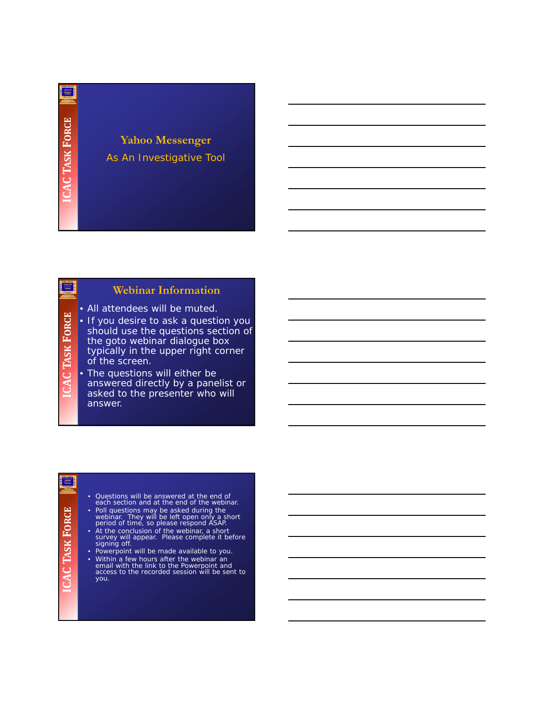翠

#### **Yahoo Messenger** As An Investigative Tool

#### **Webinar Information**

- All attendees will be muted.
- **K FORCE** • If you desire to ask a question you should use the questions section of the goto webinar dialogue box typically in the upper right corner **TAS** of the screen.

• The questions will either be answered directly by a panelist or asked to the presenter who will answer.

#### ≋|

**ICAC**

Ξ,

- Questions will be answered at the end of each section and at the end of the webinar.
- Poll questions may be asked during the webinar. They will be left open only a short period of time, so please respond ASAP.
- At the conclusion of the webinar, a short<br>survey will appear. Please complete it before<br>signing off.
- Powerpoint will be made available to you.
- Within a few hours after the webinar an email with the link to the Powerpoint and access to the recorded session will be sent to you.

# **FORCE**

**K**

**TAS**

**ICAC**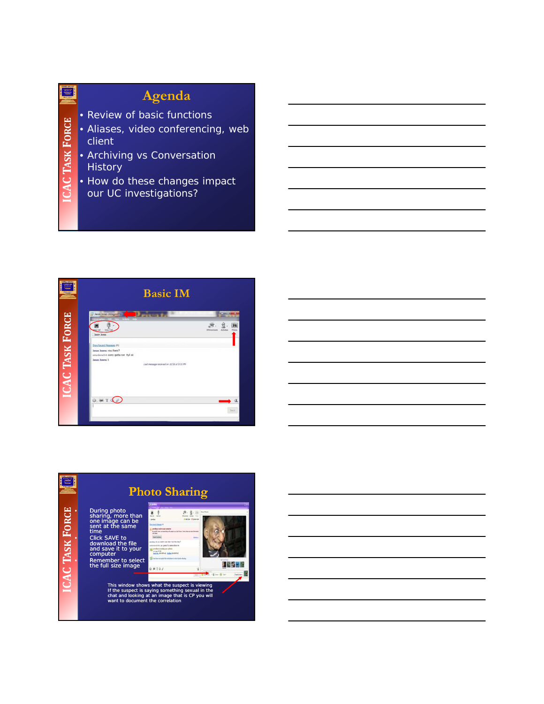## **Agenda**

- Review of basic functions
- Aliases, video conferencing, web client
- Archiving vs Conversation **History**

**K**

**TAS**

**ICAC**

**FORCE**

覃

• How do these changes impact our UC investigations?



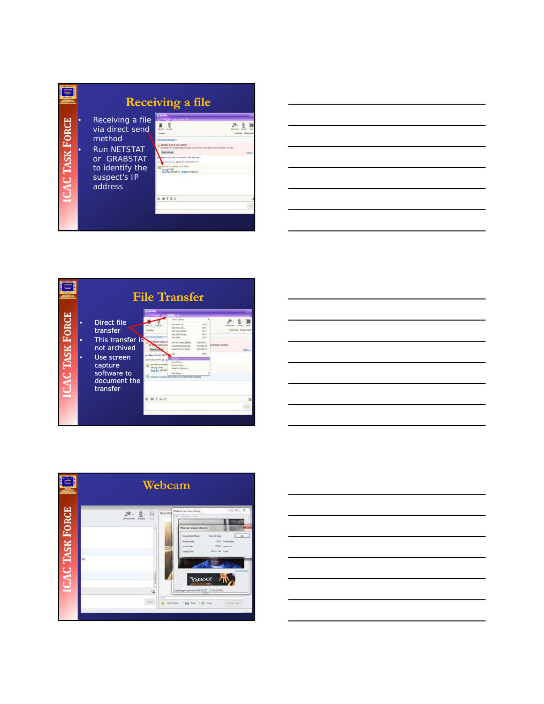#### E **Receiving a file** • Receiving a file **FORCE**  $\frac{g}{\sqrt{2}} = \frac{g}{2} = \frac{g}{2}$  $89$ via direct send method  $\begin{array}{l} \textbf{In the case of the program is a set of the program is a set of the program is a set of the program is a set of the program is a set of the text is a set of the text is a set of the text.} \end{array} \begin{array}{l} \textbf{A} = \textbf{A} + \textbf{A} + \textbf{A} + \textbf{A} + \textbf{A} + \textbf{A} + \textbf{A} + \textbf{A} + \textbf{A} + \textbf{A} + \textbf{A} + \textbf{A} + \textbf{A} + \textbf{A} + \textbf{A} + \textbf{A} + \textbf{A} + \textbf{A} + \textbf{A} + \textbf{A} +$ • Run NETSTAT **K** or GRABSTAT<br>to identify the **TAS** suspect's IP **ICAC** address  $0.9197$

|                       |             |                                                                                                                                 | <b>File Transfer</b>                                                                                                                                      |                                                                                                                                                                                                                                                                                                                                             |                                                                                                          |                                                           |
|-----------------------|-------------|---------------------------------------------------------------------------------------------------------------------------------|-----------------------------------------------------------------------------------------------------------------------------------------------------------|---------------------------------------------------------------------------------------------------------------------------------------------------------------------------------------------------------------------------------------------------------------------------------------------------------------------------------------------|----------------------------------------------------------------------------------------------------------|-----------------------------------------------------------|
| <b>CAC TASK FORCE</b> | ۰<br>۰<br>۰ | Direct file<br>transfer<br>This transfer is<br>not archived<br>Use screen<br>capture<br>software to<br>document the<br>transfer | pendido<br>when comes<br>pervilling: Sit you want<br>enherskeyft 666; 'et i n<br>perudhou in sendis<br>Helt and COT HIT!<br>laye As., (a) +5th<br>0.91797 | Contact Esplora<br>that Wind Cal<br>that train Cal<br>Californi Nusber<br>Send SHS Message<br>Sand Email:<br>Send My Contract Details<br>Send My Mexistrater Ltd<br><b>Request Contract Details</b><br>San Putts<br>Choose Activitie<br><b>Indets Colleges</b><br><b>Hure dellano</b><br>to have accepted the waitution to start plans show | Ch4x3<br><b>Colec</b><br>Celus<br>Oslet<br>Chief<br>Orie Balter"<br>Ozielpgtukt<br>Originals<br>Original | AAE Liver G Sprawe Use<br>i information with them.<br>2tr |
|                       |             |                                                                                                                                 |                                                                                                                                                           |                                                                                                                                                                                                                                                                                                                                             |                                                                                                          |                                                           |





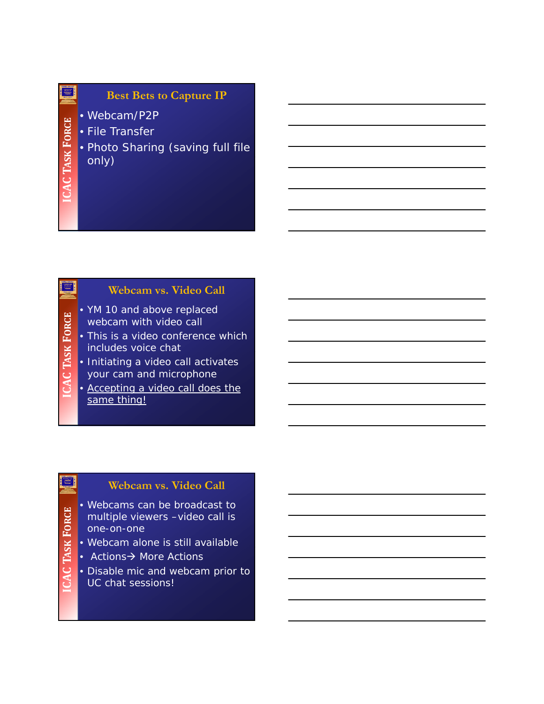#### **Best Bets to Capture IP**

- Webcam/P2P
- File Transfer
- Photo Sharing (saving full file only)

#### **Webcam vs. Video Call**

- YM 10 and above replaced webcam with video call
- This is a video conference which includes voice chat
- Initiating a video call activates your cam and microphone
- Accepting a video call does the same thing!

#### **Webcam vs. Video Call**

- Webcams can be broadcast to multiple viewers –video call is one-on-one
- Webcam alone is still available
- Actions $\rightarrow$  More Actions
- Disable mic and webcam prior to UC chat sessions!

## 靈

**K**

**TAS**

**ICAC**

**K**

**TAS**

**ICAC**

**K**

**TAS**

**ICAC**

**FORCE**

富

**FORCE**

Ξ,

**FORCE**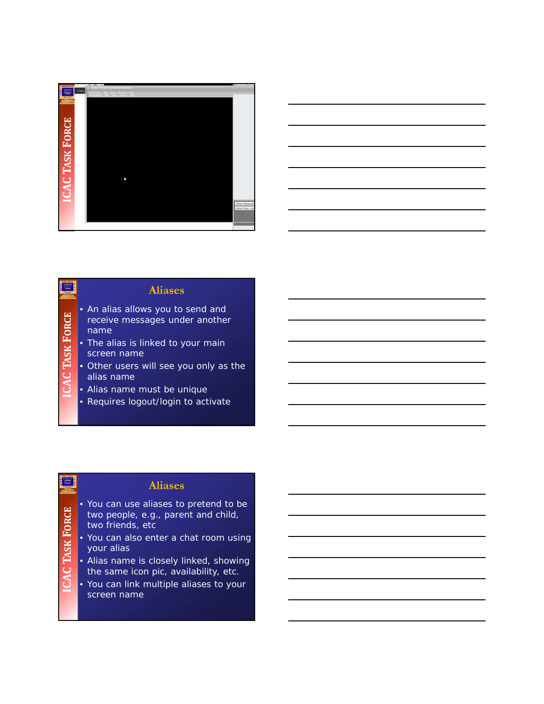

|                                              | <u> 1989 - Johann Stoff, deutscher Stoff, der Stoff, der Stoff, der Stoff, der Stoff, der Stoff, der Stoff, der S</u> |  |  |
|----------------------------------------------|-----------------------------------------------------------------------------------------------------------------------|--|--|
| the control of the control of the control of |                                                                                                                       |  |  |
|                                              |                                                                                                                       |  |  |
|                                              |                                                                                                                       |  |  |
|                                              |                                                                                                                       |  |  |
|                                              |                                                                                                                       |  |  |

#### **Aliases**

- An alias allows you to send and receive messages under another name
- The alias is linked to your main screen name
- Other users will see you only as the alias name
- Alias name must be unique

**K**

**TAS**

**ICAC**

**K**

**TAS**

**ICAC**

**FORCE**

≡∣

**FORCE**

≣|

• Requires logout/login to activate

#### **Aliases**

- You can use aliases to pretend to be two people, e.g., parent and child,
	- two friends, etc
- You can also enter a chat room using your alias
- Alias name is closely linked, showing the same icon pic, availability, etc.
- You can link multiple aliases to your screen name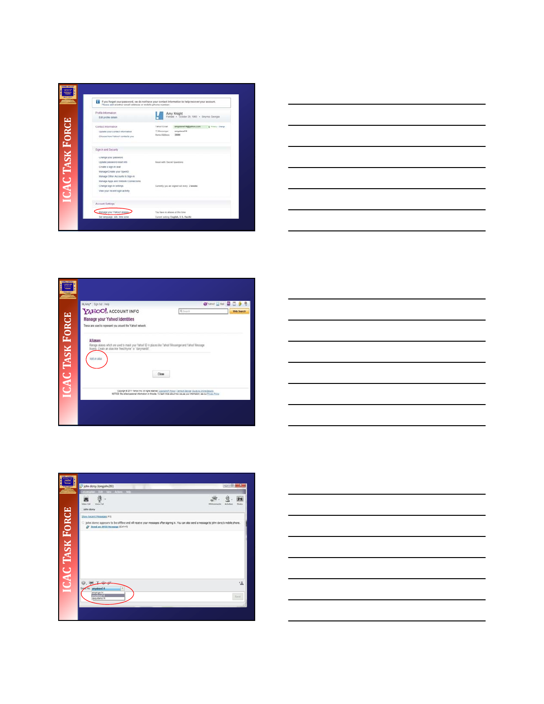









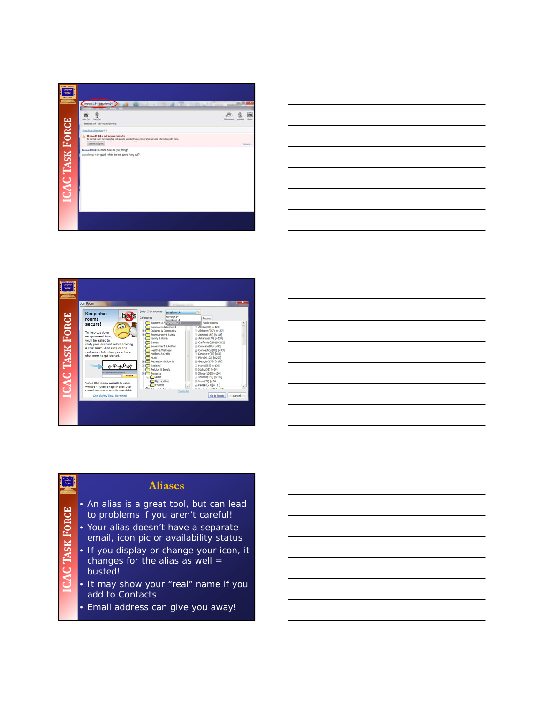







#### **Aliases**

- An alias is a great tool, but can lead to problems if you aren't careful!
- Your alias doesn't have a separate email, icon pic or availability status

**FORCE**

富

**ICAC**

**TAS**

- **K** • If you display or change your icon, it changes for the alias as well  $=$ busted!
	- It may show your "real" name if you add to Contacts
	- Email address can give you away!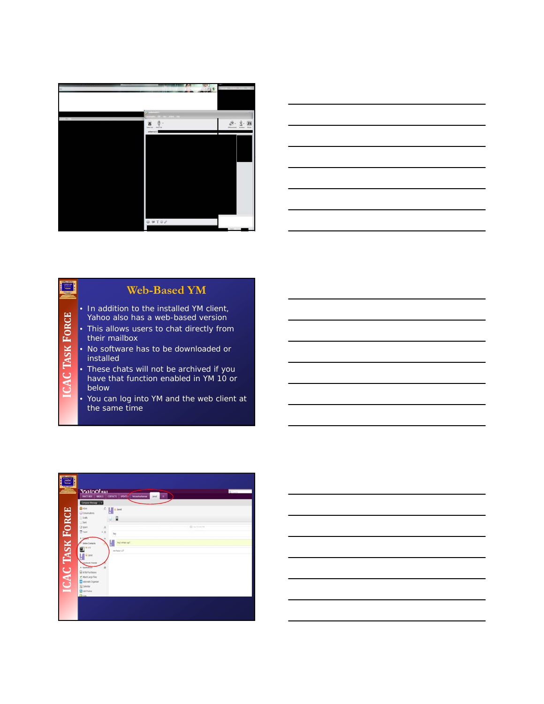

|  | _______ |
|--|---------|
|  |         |
|  |         |
|  |         |
|  |         |
|  |         |
|  |         |
|  |         |
|  |         |
|  |         |
|  |         |
|  |         |
|  |         |
|  |         |
|  |         |
|  |         |
|  |         |
|  |         |
|  |         |
|  |         |
|  |         |
|  |         |
|  |         |
|  |         |
|  |         |
|  |         |
|  |         |
|  |         |
|  |         |
|  |         |
|  |         |
|  |         |
|  |         |
|  |         |
|  |         |
|  |         |
|  |         |
|  |         |
|  | $\sim$  |
|  |         |
|  |         |
|  |         |
|  |         |
|  |         |
|  |         |
|  |         |
|  |         |
|  |         |
|  |         |
|  |         |
|  | __      |
|  |         |
|  |         |
|  |         |
|  |         |
|  |         |
|  |         |
|  |         |
|  |         |
|  |         |
|  |         |
|  |         |
|  |         |
|  |         |

#### **Web-Based YM**

- In addition to the installed YM client, Yahoo also has a web-based version
- This allows users to chat directly from their mailbox
- No software has to be downloaded or installed

**K**

**TAS**

**ICAC**

**FORCE**

E,

- These chats will not be archived if you have that function enabled in YM 10 or below
- You can log into YM and the web client at the same time

|                        | <b>VAHOO!</b> MAIL<br><b>INFORMATION CONTROL CONTROL CONTROL AND AND ARRESTS</b><br>Compros Geossip ( +)                                                                                                                                                                                                                                                                                                                                                 |                   | <b>Qitares</b> |
|------------------------|----------------------------------------------------------------------------------------------------------------------------------------------------------------------------------------------------------------------------------------------------------------------------------------------------------------------------------------------------------------------------------------------------------------------------------------------------------|-------------------|----------------|
| <b>ICAC TASK FORCE</b> | <b>E</b> hour<br>$C = \frac{1}{2}$ , $\frac{1}{2}$ , $\frac{1}{2}$ , $\frac{1}{2}$ and<br>U Covenators<br>() Date<br>ц<br>$\Box$ fert<br>U team<br>$\overline{\Omega}$ has<br>1.1.<br>9.54<br>hey whats saft<br><b>Celine Contacts</b><br>2.20<br>nn hau ru?<br><b>Q</b> Jane<br><b>Number French</b><br>$-$ Australian<br><b>ENN Purchase</b><br><b>Cabin Lage Fires</b><br><b>Manufacturing</b><br><b>Colester</b><br><b>B</b> carriera<br><b>Diam</b> | <b>IS</b> outside |                |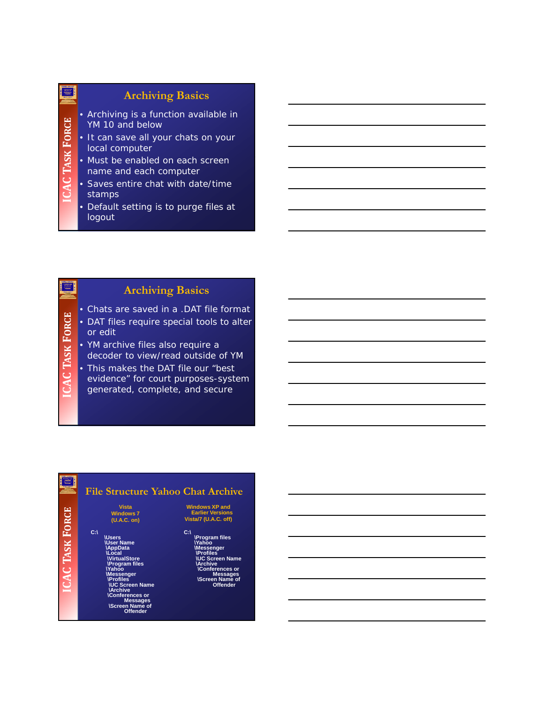#### **Archiving Basics**

- Archiving is a function available in YM 10 and below
- It can save all your chats on your local computer
- Must be enabled on each screen name and each computer

**K**

**TAS**

**ICAC**

**K**

**TAS**

**ICAC**

**FORCE**

雪

**FORCE**

靈

- Saves entire chat with date/time stamps
- Default setting is to purge files at logout

### **Archiving Basics**

- Chats are saved in a .DAT file format
- DAT files require special tools to alter or edit
- YM archive files also require a decoder to view/read outside of YM
- This makes the DAT file our "best
- evidence" for court purposes-system generated, complete, and secure

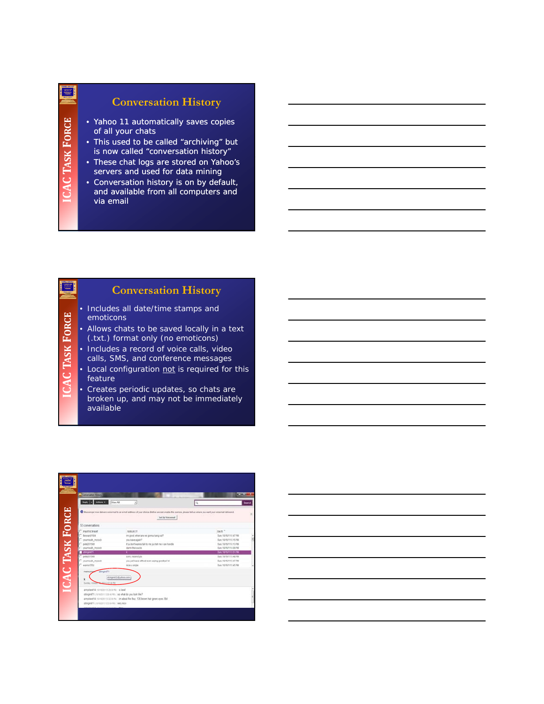#### **Conversation History**

- Yahoo 11 automatically saves copies of all your chats
- This used to be called "archiving" but is now called "conversation history"
- These chat logs are stored on Yahoo's servers and used for data mining
- Conversation history is on by default, and available from all computers and via email

#### **Conversation History**

- Includes all date/time stamps and emoticons
- Allows chats to be saved locally in a text (.txt.) format only (no emoticons)
- Includes a record of voice calls, video
- calls, SMS, and conference messages
- Local configuration not is required for this feature
- Creates periodic updates, so chats are broken up, and may not be immediately available



靈

**K**

**TAS**

**ICAC**

**FORCE**

≣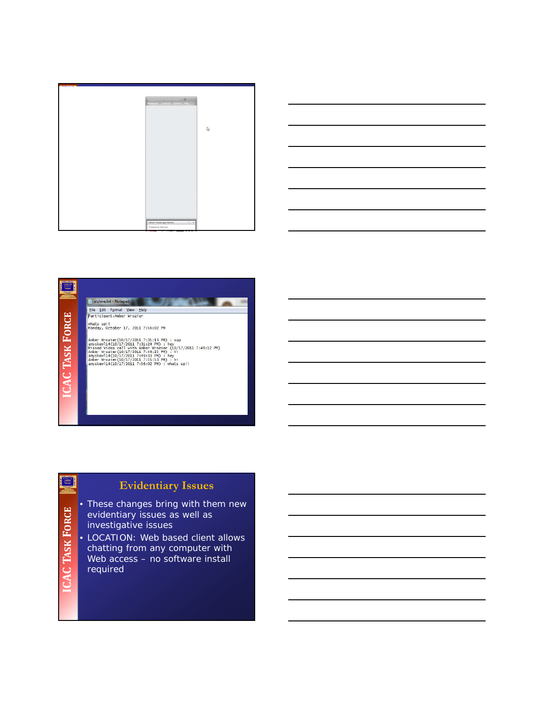



#### E) **ANTI AN** archive.txt - Notepad n File Edit Format View Help<br>Participant:Amber Wrozier **FORCE** whats up!!<br>Monday, October 17, 2011 7:56:02 PM Amber Wrozier(10/17/2011 7:31:13 PM) : sup<br>amyskevl14(10/17/2011 7:31:24 PM) : hey<br>Missed Video call with Amber Wrozier (10/17/2011 7:49:12 PM)<br>Missed Video call with Amber Wrozier (10/17/2011 7:49:12 PM)<br>Ampskewl14(10/17/ **K TAS ICAC**

### **Evidentiary Issues**

**K FORCE ICAC TAS**

高

• These changes bring with them new evidentiary issues as well as investigative issues

• LOCATION: Web based client allows chatting from any computer with Web access - no software install required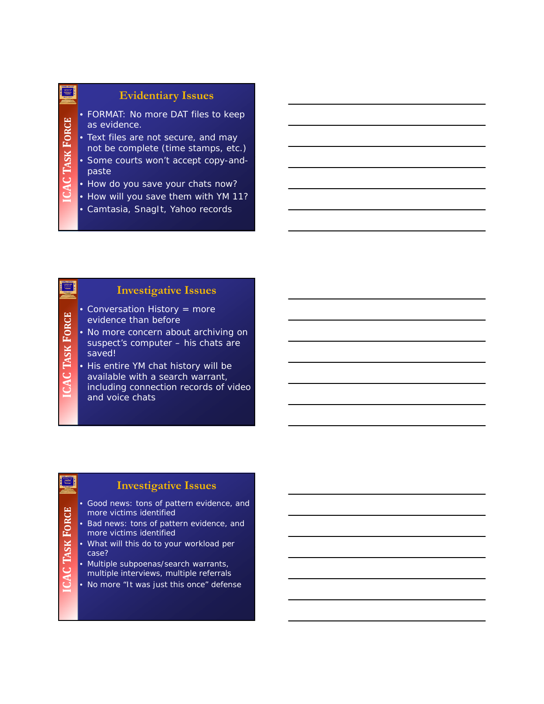#### **Evidentiary Issues**

- FORMAT: No more DAT files to keep as evidence.
- Text files are not secure, and may not be complete (time stamps, etc.)
- Some courts won't accept copy-andpaste
- How do you save your chats now?
- How will you save them with YM 11?
- Camtasia, SnagIt, Yahoo records

#### **Investigative Issues**

- Conversation History = more evidence than before
- **K FORCE** • No more concern about archiving on suspect's computer – his chats are saved! **TAS**

• His entire YM chat history will be available with a search warrant, including connection records of video and voice chats

#### **Investigative Issues**

**FORCE**

≋|

**K**

**TAS**

**ICAC**

**ICAC**

禀

- Good news: tons of pattern evidence, and more victims identified
- Bad news: tons of pattern evidence, and more victims identified
- What will this do to your workload per case?
- Multiple subpoenas/search warrants, multiple interviews, multiple referrals
- No more "It was just this once" defense

#### 靈

**K**

**TAS**

**ICAC**

**FORCE**